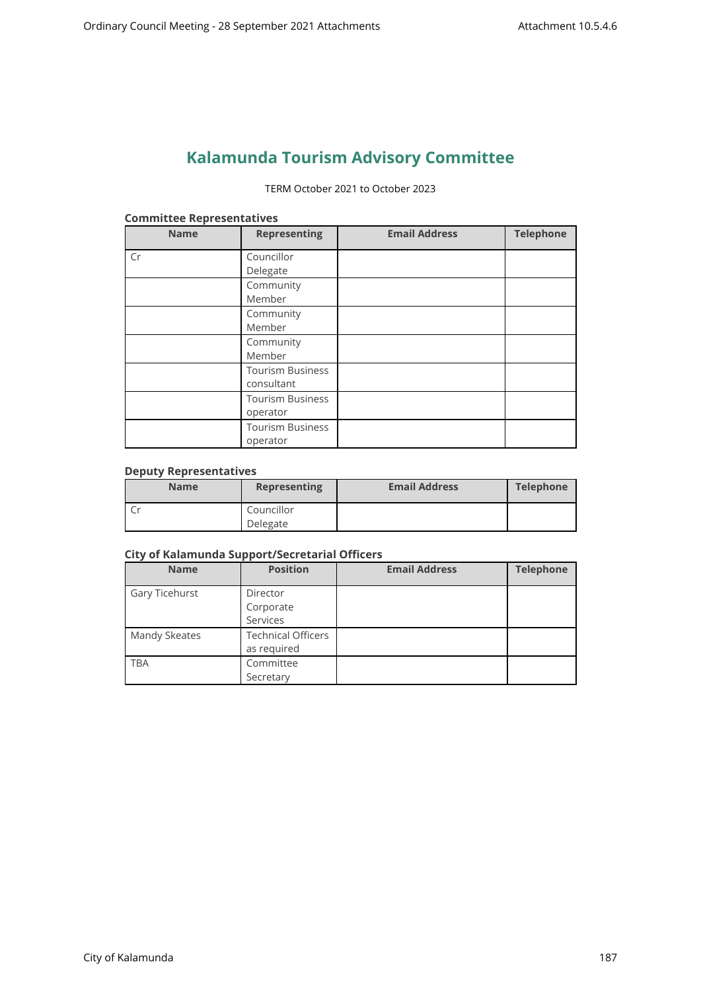# **Kalamunda Tourism Advisory Committee**

#### TERM October 2021 to October 2023

| <b>Name</b> | <b>Representing</b>     | <b>Email Address</b> | <b>Telephone</b> |
|-------------|-------------------------|----------------------|------------------|
| Cr          | Councillor              |                      |                  |
|             | Delegate                |                      |                  |
|             | Community               |                      |                  |
|             | Member                  |                      |                  |
|             | Community               |                      |                  |
|             | Member                  |                      |                  |
|             | Community               |                      |                  |
|             | Member                  |                      |                  |
|             | <b>Tourism Business</b> |                      |                  |
|             | consultant              |                      |                  |
|             | <b>Tourism Business</b> |                      |                  |
|             | operator                |                      |                  |
|             | <b>Tourism Business</b> |                      |                  |
|             | operator                |                      |                  |

#### **Committee Representatives**

# **Deputy Representatives**

| <b>Name</b> | <b>Representing</b> | <b>Email Address</b> | <b>Telephone</b> |
|-------------|---------------------|----------------------|------------------|
|             | Councillor          |                      |                  |
|             | Delegate            |                      |                  |

# **City of Kalamunda Support/Secretarial Officers**

| <b>Name</b>    | <b>Position</b>           | <b>Email Address</b> | <b>Telephone</b> |
|----------------|---------------------------|----------------------|------------------|
| Gary Ticehurst | Director                  |                      |                  |
|                | Corporate                 |                      |                  |
|                | Services                  |                      |                  |
| Mandy Skeates  | <b>Technical Officers</b> |                      |                  |
|                | as required               |                      |                  |
| <b>TBA</b>     | Committee                 |                      |                  |
|                | Secretary                 |                      |                  |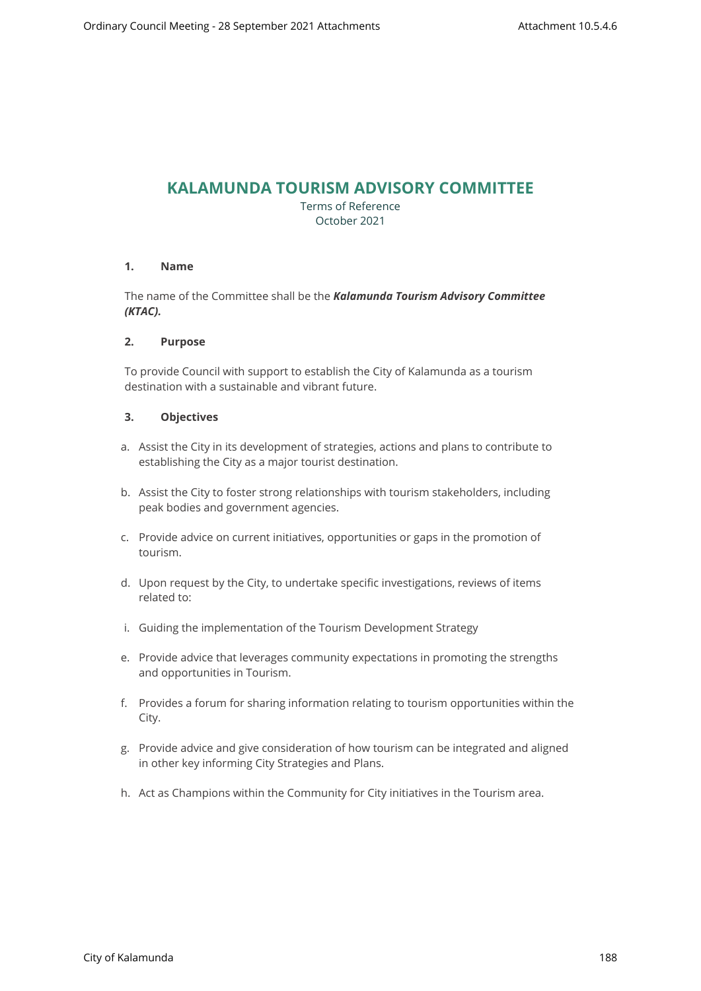# **KALAMUNDA TOURISM ADVISORY COMMITTEE**

Terms of Reference October 2021

# **1. Name**

The name of the Committee shall be the *Kalamunda Tourism Advisory Committee (KTAC).*

#### **2. Purpose**

To provide Council with support to establish the City of Kalamunda as a tourism destination with a sustainable and vibrant future.

#### **3. Objectives**

- a. Assist the City in its development of strategies, actions and plans to contribute to establishing the City as a major tourist destination.
- b. Assist the City to foster strong relationships with tourism stakeholders, including peak bodies and government agencies.
- c. Provide advice on current initiatives, opportunities or gaps in the promotion of tourism.
- d. Upon request by the City, to undertake specific investigations, reviews of items related to:
- i. Guiding the implementation of the Tourism Development Strategy
- e. Provide advice that leverages community expectations in promoting the strengths and opportunities in Tourism.
- f. Provides a forum for sharing information relating to tourism opportunities within the City.
- g. Provide advice and give consideration of how tourism can be integrated and aligned in other key informing City Strategies and Plans.
- h. Act as Champions within the Community for City initiatives in the Tourism area.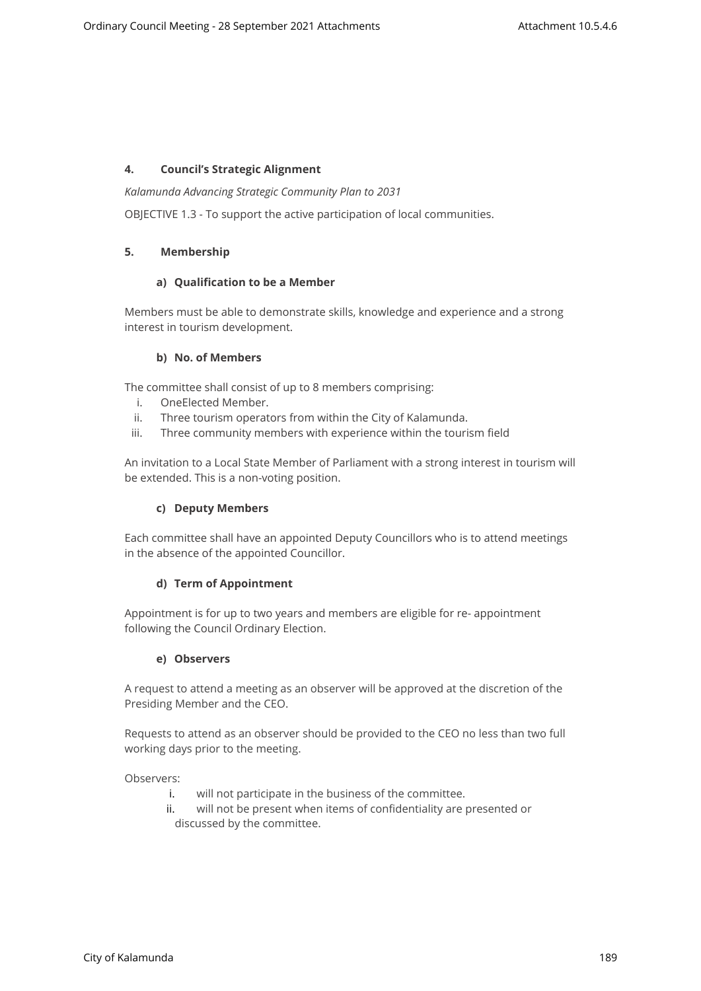# **4. Council's Strategic Alignment**

*Kalamunda Advancing Strategic Community Plan to 2031*

OBJECTIVE 1.3 - To support the active participation of local communities.

# **5. Membership**

# **a) Qualification to be a Member**

Members must be able to demonstrate skills, knowledge and experience and a strong interest in tourism development.

#### **b) No. of Members**

The committee shall consist of up to 8 members comprising:

- i. OneElected Member.
- ii. Three tourism operators from within the City of Kalamunda.
- iii. Three community members with experience within the tourism field

An invitation to a Local State Member of Parliament with a strong interest in tourism will be extended. This is a non-voting position.

# **c) Deputy Members**

Each committee shall have an appointed Deputy Councillors who is to attend meetings in the absence of the appointed Councillor.

# **d) Term of Appointment**

Appointment is for up to two years and members are eligible for re- appointment following the Council Ordinary Election.

# **e) Observers**

A request to attend a meeting as an observer will be approved at the discretion of the Presiding Member and the CEO.

Requests to attend as an observer should be provided to the CEO no less than two full working days prior to the meeting.

Observers:

- i. will not participate in the business of the committee.
- ii. will not be present when items of confidentiality are presented or discussed by the committee.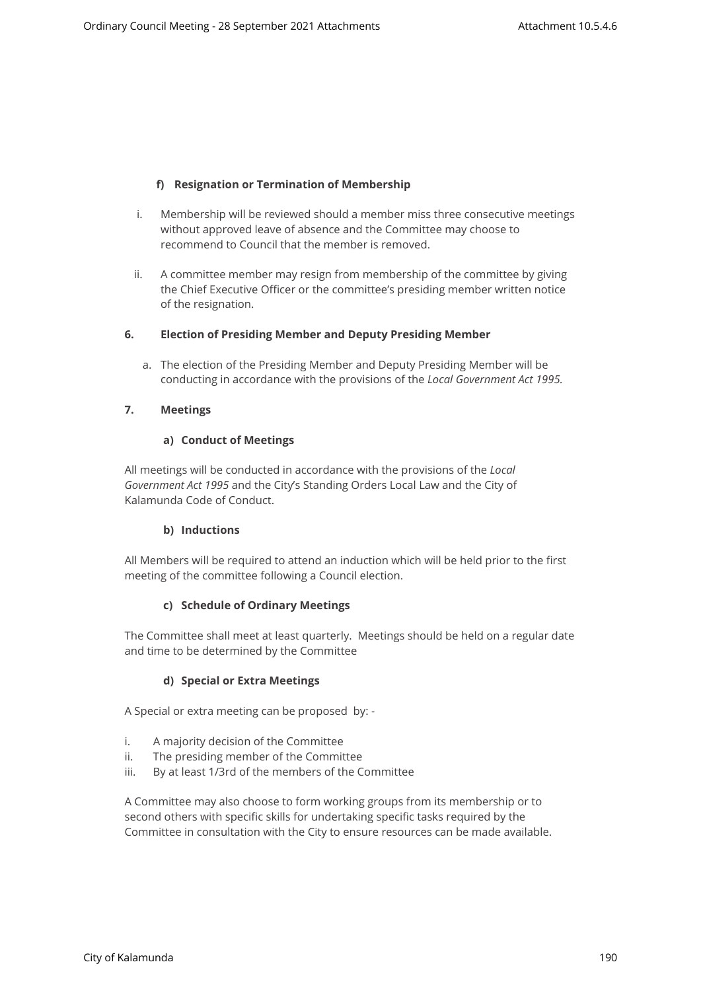# **f) Resignation or Termination of Membership**

- i. Membership will be reviewed should a member miss three consecutive meetings without approved leave of absence and the Committee may choose to recommend to Council that the member is removed.
- ii. A committee member may resign from membership of the committee by giving the Chief Executive Officer or the committee's presiding member written notice of the resignation.

#### **6. Election of Presiding Member and Deputy Presiding Member**

a. The election of the Presiding Member and Deputy Presiding Member will be conducting in accordance with the provisions of the *Local Government Act 1995.*

#### **7. Meetings**

#### **a) Conduct of Meetings**

All meetings will be conducted in accordance with the provisions of the *Local Government Act 1995* and the City's Standing Orders Local Law and the City of Kalamunda Code of Conduct.

# **b) Inductions**

All Members will be required to attend an induction which will be held prior to the first meeting of the committee following a Council election.

# **c) Schedule of Ordinary Meetings**

The Committee shall meet at least quarterly. Meetings should be held on a regular date and time to be determined by the Committee

# **d) Special or Extra Meetings**

A Special or extra meeting can be proposed by: -

- i. A majority decision of the Committee
- ii. The presiding member of the Committee
- iii. By at least 1/3rd of the members of the Committee

A Committee may also choose to form working groups from its membership or to second others with specific skills for undertaking specific tasks required by the Committee in consultation with the City to ensure resources can be made available.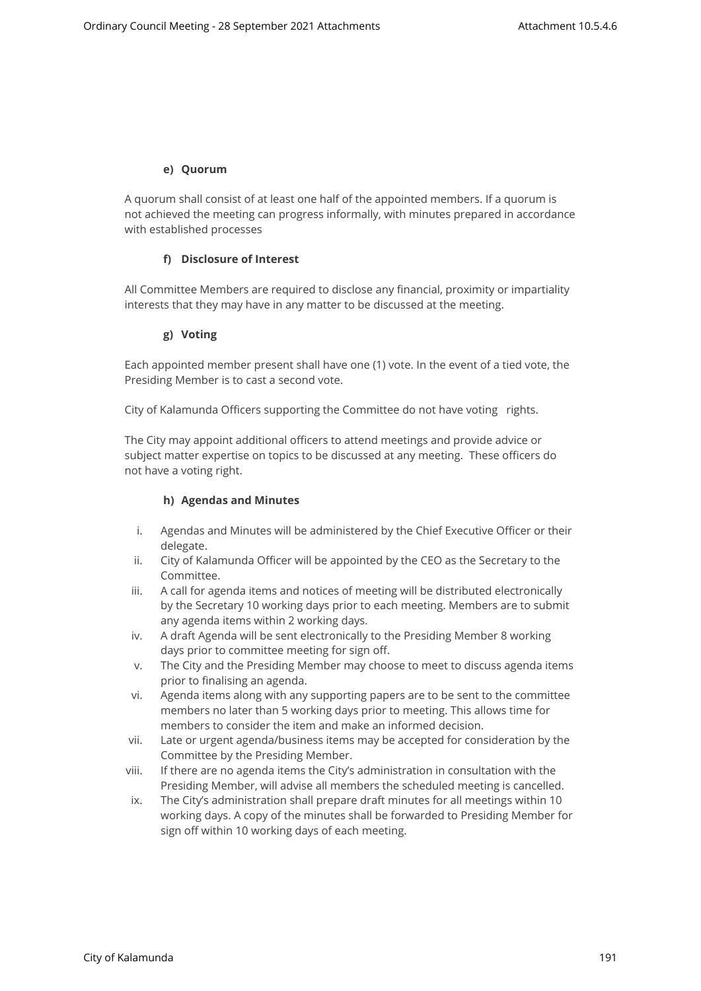#### **e) Quorum**

A quorum shall consist of at least one half of the appointed members. If a quorum is not achieved the meeting can progress informally, with minutes prepared in accordance with established processes

# **f) Disclosure of Interest**

All Committee Members are required to disclose any financial, proximity or impartiality interests that they may have in any matter to be discussed at the meeting.

#### **g) Voting**

Each appointed member present shall have one (1) vote. In the event of a tied vote, the Presiding Member is to cast a second vote.

City of Kalamunda Officers supporting the Committee do not have voting rights.

The City may appoint additional officers to attend meetings and provide advice or subject matter expertise on topics to be discussed at any meeting. These officers do not have a voting right.

#### **h) Agendas and Minutes**

- i. Agendas and Minutes will be administered by the Chief Executive Officer or their delegate.
- ii. City of Kalamunda Officer will be appointed by the CEO as the Secretary to the Committee.
- iii. A call for agenda items and notices of meeting will be distributed electronically by the Secretary 10 working days prior to each meeting. Members are to submit any agenda items within 2 working days.
- iv. A draft Agenda will be sent electronically to the Presiding Member 8 working days prior to committee meeting for sign off.
- v. The City and the Presiding Member may choose to meet to discuss agenda items prior to finalising an agenda.
- vi. Agenda items along with any supporting papers are to be sent to the committee members no later than 5 working days prior to meeting. This allows time for members to consider the item and make an informed decision.
- vii. Late or urgent agenda/business items may be accepted for consideration by the Committee by the Presiding Member.
- viii. If there are no agenda items the City's administration in consultation with the Presiding Member, will advise all members the scheduled meeting is cancelled.
- ix. The City's administration shall prepare draft minutes for all meetings within 10 working days. A copy of the minutes shall be forwarded to Presiding Member for sign off within 10 working days of each meeting.